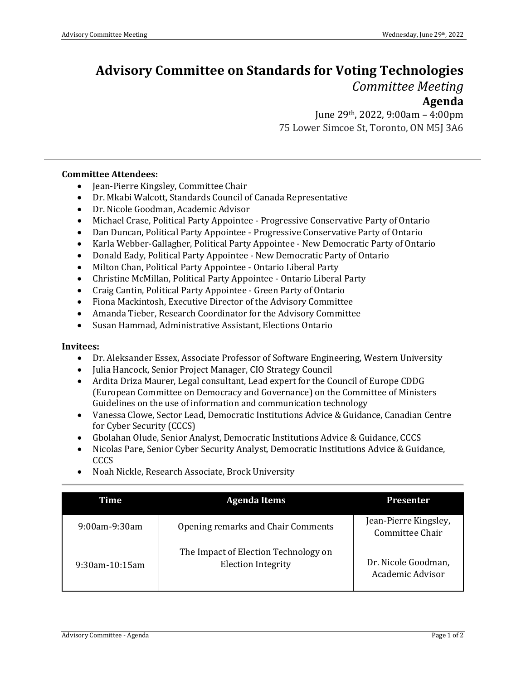## **Advisory Committee on Standards for Voting Technologies**  *Committee Meeting*

## **Agenda**

June 29th, 2022, 9:00am – 4:00pm 75 Lower Simcoe St, Toronto, ON M5J 3A6

## **Committee Attendees:**

- Jean-Pierre Kingsley, Committee Chair
- Dr. Mkabi Walcott, Standards Council of Canada Representative
- Dr. Nicole Goodman, Academic Advisor
- Michael Crase, Political Party Appointee Progressive Conservative Party of Ontario
- Dan Duncan, Political Party Appointee Progressive Conservative Party of Ontario
- Karla Webber-Gallagher, Political Party Appointee New Democratic Party of Ontario
- Donald Eady, Political Party Appointee New Democratic Party of Ontario
- Milton Chan, Political Party Appointee Ontario Liberal Party
- Christine McMillan, Political Party Appointee Ontario Liberal Party
- Craig Cantin, Political Party Appointee Green Party of Ontario
- Fiona Mackintosh, Executive Director of the Advisory Committee
- Amanda Tieber, Research Coordinator for the Advisory Committee
- Susan Hammad, Administrative Assistant, Elections Ontario

## **Invitees:**

- Dr. Aleksander Essex, Associate Professor of Software Engineering, Western University
- Julia Hancock, Senior Project Manager, CIO Strategy Council
- Ardita Driza Maurer, Legal consultant, Lead expert for the Council of Europe CDDG (European Committee on Democracy and Governance) on the Committee of Ministers Guidelines on the use of information and communication technology
- Vanessa Clowe, Sector Lead, Democratic Institutions Advice & Guidance, Canadian Centre for Cyber Security (CCCS)
- Gbolahan Olude, Senior Analyst, Democratic Institutions Advice & Guidance, CCCS
- Nicolas Pare, Senior Cyber Security Analyst, Democratic Institutions Advice & Guidance, CCCS

| Time                 | <b>Agenda Items</b>                                               | <b>Presenter</b>                         |
|----------------------|-------------------------------------------------------------------|------------------------------------------|
| $9:00$ am- $9:30$ am | Opening remarks and Chair Comments                                | Jean-Pierre Kingsley,<br>Committee Chair |
| $9:30$ am-10:15am    | The Impact of Election Technology on<br><b>Election Integrity</b> | Dr. Nicole Goodman,<br>Academic Advisor  |

• Noah Nickle, Research Associate, Brock University